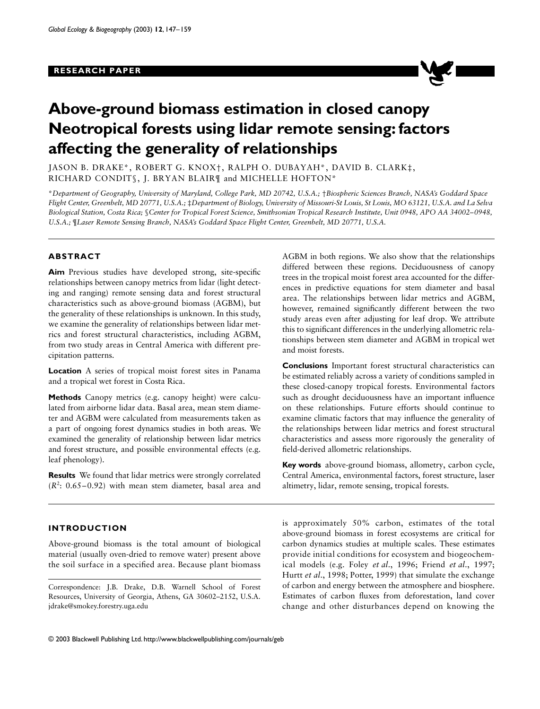# **RESEARCH PAPER**



# Above-ground biomass estimation in closed canopy **Neotropical forests using lidar remote sensing: factors affecting the generality of relationships**

JASON B. DRAKE\*, ROBERT G. KNOX†, RALPH O. DUBAYAH\*, DAVID B. CLARK‡, RICHARD CONDIT§, J. BRYAN BLAIR¶ and MICHELLE HOFTON\*

\**Department of Geography, University of Maryland, College Park, MD 20742, U.S.A.;* †*Biospheric Sciences Branch, NASA's Goddard Space Flight Center, Greenbelt, MD 20771, U.S.A.;* ‡*Department of Biology, University of Missouri-St Louis, St Louis, MO 63121, U.S.A. and La Selva Biological Station, Costa Rica;* §*Center for Tropical Forest Science, Smithsonian Tropical Research Institute, Unit 0948, APO AA 34002–0948, U.S.A.;* ¶*Laser Remote Sensing Branch, NASA's Goddard Space Flight Center, Greenbelt, MD 20771, U.S.A.* 

# **ABSTRACT**

**Aim** Previous studies have developed strong, site-specific relationships between canopy metrics from lidar (light detecting and ranging) remote sensing data and forest structural characteristics such as above-ground biomass (AGBM), but the generality of these relationships is unknown. In this study, we examine the generality of relationships between lidar metrics and forest structural characteristics, including AGBM, from two study areas in Central America with different precipitation patterns.

**Location** A series of tropical moist forest sites in Panama and a tropical wet forest in Costa Rica.

**Methods** Canopy metrics (e.g. canopy height) were calculated from airborne lidar data. Basal area, mean stem diameter and AGBM were calculated from measurements taken as a part of ongoing forest dynamics studies in both areas. We examined the generality of relationship between lidar metrics and forest structure, and possible environmental effects (e.g. leaf phenology).

**Results** We found that lidar metrics were strongly correlated  $(R<sup>2</sup>: 0.65-0.92)$  with mean stem diameter, basal area and

# **INTRODUCTION**

Above-ground biomass is the total amount of biological material (usually oven-dried to remove water) present above the soil surface in a specified area. Because plant biomass

AGBM in both regions. We also show that the relationships differed between these regions. Deciduousness of canopy trees in the tropical moist forest area accounted for the differences in predictive equations for stem diameter and basal area. The relationships between lidar metrics and AGBM, however, remained significantly different between the two study areas even after adjusting for leaf drop. We attribute this to significant differences in the underlying allometric relationships between stem diameter and AGBM in tropical wet and moist forests.

**Conclusions** Important forest structural characteristics can be estimated reliably across a variety of conditions sampled in these closed-canopy tropical forests. Environmental factors such as drought deciduousness have an important influence on these relationships. Future efforts should continue to examine climatic factors that may influence the generality of the relationships between lidar metrics and forest structural characteristics and assess more rigorously the generality of field-derived allometric relationships.

**Key words** above-ground biomass, allometry, carbon cycle, Central America, environmental factors, forest structure, laser altimetry, lidar, remote sensing, tropical forests.

is approximately 50% carbon, estimates of the total above-ground biomass in forest ecosystems are critical for carbon dynamics studies at multiple scales. These estimates provide initial conditions for ecosystem and biogeochemical models (e.g. Foley *et al*., 1996; Friend *et al*., 1997; Hurtt *et al*., 1998; Potter, 1999) that simulate the exchange of carbon and energy between the atmosphere and biosphere. Estimates of carbon fluxes from deforestation, land cover change and other disturbances depend on knowing the

Correspondence: J.B. Drake, D.B. Warnell School of Forest Resources, University of Georgia, Athens, GA 30602–2152, U.S.A. jdrake@smokey.forestry.uga.edu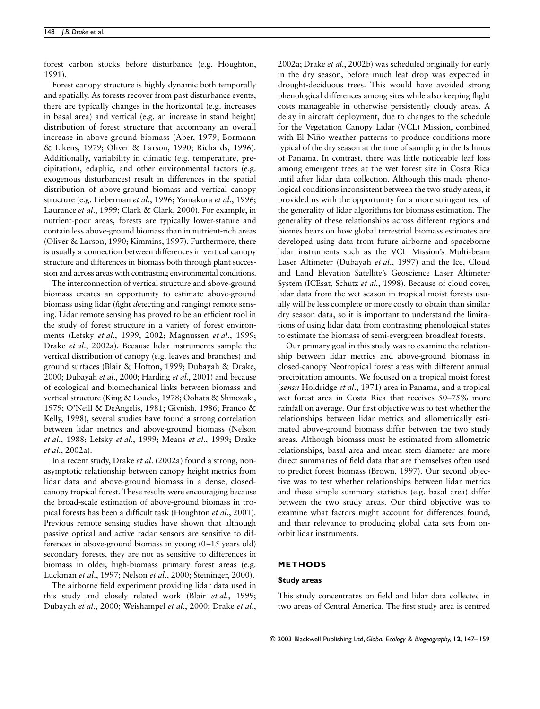forest carbon stocks before disturbance (e.g. Houghton, 1991).

Forest canopy structure is highly dynamic both temporally and spatially. As forests recover from past disturbance events, there are typically changes in the horizontal (e.g. increases in basal area) and vertical (e.g. an increase in stand height) distribution of forest structure that accompany an overall increase in above-ground biomass (Aber, 1979; Bormann & Likens, 1979; Oliver & Larson, 1990; Richards, 1996). Additionally, variability in climatic (e.g. temperature, precipitation), edaphic, and other environmental factors (e.g. exogenous disturbances) result in differences in the spatial distribution of above-ground biomass and vertical canopy structure (e.g. Lieberman *et al*., 1996; Yamakura *et al*., 1996; Laurance *et al.*, 1999; Clark & Clark, 2000). For example, in nutrient-poor areas, forests are typically lower-stature and contain less above-ground biomass than in nutrient-rich areas (Oliver & Larson, 1990; Kimmins, 1997). Furthermore, there is usually a connection between differences in vertical canopy structure and differences in biomass both through plant succession and across areas with contrasting environmental conditions.

The interconnection of vertical structure and above-ground biomass creates an opportunity to estimate above-ground biomass using lidar (*l*ight *d*etecting and *r*anging) remote sensing. Lidar remote sensing has proved to be an efficient tool in the study of forest structure in a variety of forest environments (Lefsky *et al*., 1999, 2002; Magnussen *et al*., 1999; Drake *et al*., 2002a). Because lidar instruments sample the vertical distribution of canopy (e.g. leaves and branches) and ground surfaces (Blair & Hofton, 1999; Dubayah & Drake, 2000; Dubayah *et al*., 2000; Harding *et al*., 2001) and because of ecological and biomechanical links between biomass and vertical structure (King & Loucks, 1978; Oohata & Shinozaki, 1979; O'Neill & DeAngelis, 1981; Givnish, 1986; Franco & Kelly, 1998), several studies have found a strong correlation between lidar metrics and above-ground biomass (Nelson *et al*., 1988; Lefsky *et al*., 1999; Means *et al*., 1999; Drake *et al*., 2002a).

In a recent study, Drake *et al*. (2002a) found a strong, nonasymptotic relationship between canopy height metrics from lidar data and above-ground biomass in a dense, closedcanopy tropical forest. These results were encouraging because the broad-scale estimation of above-ground biomass in tropical forests has been a difficult task (Houghton *et al*., 2001). Previous remote sensing studies have shown that although passive optical and active radar sensors are sensitive to differences in above-ground biomass in young (0–15 years old) secondary forests, they are not as sensitive to differences in biomass in older, high-biomass primary forest areas (e.g. Luckman *et al*., 1997; Nelson *et al*., 2000; Steininger, 2000).

The airborne field experiment providing lidar data used in this study and closely related work (Blair *et al*., 1999; Dubayah *et al*., 2000; Weishampel *et al*., 2000; Drake *et al*.,

2002a; Drake *et al*., 2002b) was scheduled originally for early in the dry season, before much leaf drop was expected in drought-deciduous trees. This would have avoided strong phenological differences among sites while also keeping flight costs manageable in otherwise persistently cloudy areas. A delay in aircraft deployment, due to changes to the schedule for the Vegetation Canopy Lidar (VCL) Mission, combined with El Niño weather patterns to produce conditions more typical of the dry season at the time of sampling in the Isthmus of Panama. In contrast, there was little noticeable leaf loss among emergent trees at the wet forest site in Costa Rica until after lidar data collection. Although this made phenological conditions inconsistent between the two study areas, it provided us with the opportunity for a more stringent test of the generality of lidar algorithms for biomass estimation. The generality of these relationships across different regions and biomes bears on how global terrestrial biomass estimates are developed using data from future airborne and spaceborne lidar instruments such as the VCL Mission's Multi-beam Laser Altimeter (Dubayah *et al*., 1997) and the Ice, Cloud and Land Elevation Satellite's Geoscience Laser Altimeter System (ICEsat, Schutz *et al.*, 1998). Because of cloud cover, lidar data from the wet season in tropical moist forests usually will be less complete or more costly to obtain than similar dry season data, so it is important to understand the limitations of using lidar data from contrasting phenological states to estimate the biomass of semi-evergreen broadleaf forests.

Our primary goal in this study was to examine the relationship between lidar metrics and above-ground biomass in closed-canopy Neotropical forest areas with different annual precipitation amounts. We focused on a tropical moist forest (*sensu* Holdridge *et al*., 1971) area in Panama, and a tropical wet forest area in Costa Rica that receives 50–75% more rainfall on average. Our first objective was to test whether the relationships between lidar metrics and allometrically estimated above-ground biomass differ between the two study areas. Although biomass must be estimated from allometric relationships, basal area and mean stem diameter are more direct summaries of field data that are themselves often used to predict forest biomass (Brown, 1997). Our second objective was to test whether relationships between lidar metrics and these simple summary statistics (e.g. basal area) differ between the two study areas. Our third objective was to examine what factors might account for differences found, and their relevance to producing global data sets from onorbit lidar instruments.

#### **METHODS**

#### **Study areas**

This study concentrates on field and lidar data collected in two areas of Central America. The first study area is centred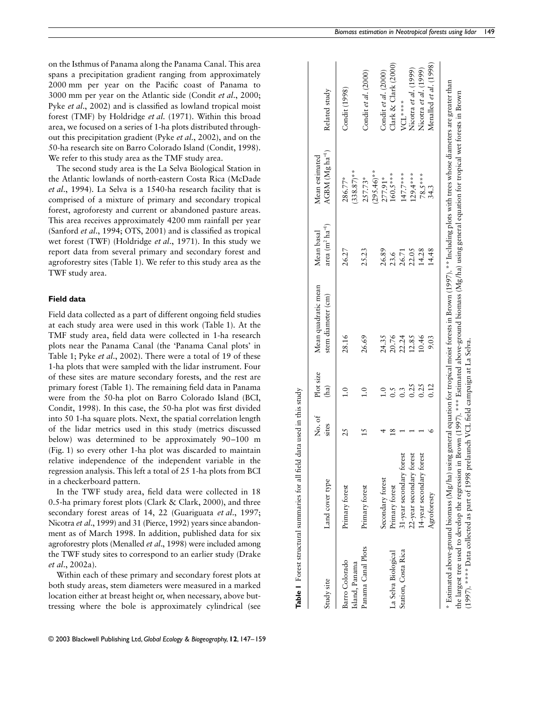on the Isthmus of Panama along the Panama Canal. This area spans a precipitation gradient ranging from approximately 2000 mm per year on the Pacific coast of Panama to 3000 mm per year on the Atlantic side (Condit *et al*., 2000; Pyke *et al*., 2002) and is classified as lowland tropical moist forest (TMF) by Holdridge *et al*. (1971). Within this broad area, we focused on a series of 1-ha plots distributed throughout this precipitation gradient (Pyke *et al*., 2002), and on the 50-ha research site on Barro Colorado Island (Condit, 1998). We refer to this study area as the TMF study area.

The second study area is the La Selva Biological Station in the Atlantic lowlands of north-eastern Costa Rica (McDade *et al*., 1994). La Selva is a 1540-ha research facility that is comprised of a mixture of primary and secondary tropical forest, agroforesty and current or abandoned pasture areas. This area receives approximately 4200 mm rainfall per year (Sanford *et al*., 1994; OTS, 2001) and is classified as tropical wet forest (TWF) (Holdridge *et al*., 1971). In this study we report data from several primary and secondary forest and agroforestry sites (Table 1). We refer to this study area as the TWF study area.

#### **Field data**

Field data collected as a part of different ongoing field studies at each study area were used in this work (Table 1). At the TMF study area, field data were collected in 1-ha research plots near the Panama Canal (the 'Panama Canal plots' in Table 1; Pyke *et al*., 2002). There were a total of 19 of these 1-ha plots that were sampled with the lidar instrument. Four of these sites are mature secondary forests, and the rest are primary forest (Table 1). The remaining field data in Panama were from the 50-ha plot on Barro Colorado Island (BCI, Condit, 1998). In this case, the 50-ha plot was first divided into 50 1-ha square plots. Next, the spatial correlation length of the lidar metrics used in this study (metrics discussed below) was determined to be approximately 90–100 m (Fig. 1) so every other 1-ha plot was discarded to maintain relative independence of the independent variable in the regression analysis. This left a total of 25 1-ha plots from BCI in a checkerboard pattern.

In the TWF study area, field data were collected in 18 0.5-ha primary forest plots (Clark & Clark, 2000), and three secondary forest areas of 14, 22 (Guariguata *et al*., 1997; Nicotra *et al*., 1999) and 31 (Pierce, 1992) years since abandonment as of March 1998. In addition, published data for six agroforestry plots (Menalled *et al*., 1998) were included among the TWF study sites to correspond to an earlier study (Drake *et al*., 2002a).

Within each of these primary and secondary forest plots at both study areas, stem diameters were measured in a marked location either at breast height or, when necessary, above buttressing where the bole is approximately cylindrical (see

| Study site                       | Land cover type          | No.of<br>sites | Plot size<br>(ha) | Mean quadratic mean<br>stem diameter (cm) | area (m $^{2}$ ha $^{-1}$ )<br>Mean basal | AGBM (Mg ha <sup>-1</sup> )<br>Mean estimated | Related study          |
|----------------------------------|--------------------------|----------------|-------------------|-------------------------------------------|-------------------------------------------|-----------------------------------------------|------------------------|
| Barro Colorado<br>Island, Panama | Primary forest           | 25             | $\frac{0}{1}$     | 28.16                                     | 26.27                                     | $(338.87)$ **<br>286.77*                      | Condit (1998)          |
| Panama Canal Plots               | Primary forest           |                | $\frac{0}{1}$     | 26.69                                     | 25.23                                     | $295.46$ <sup>**</sup><br>$257.73*$           | Condit et al. (2000)   |
|                                  | Secondary forest         |                |                   | 24.35                                     | 26.89                                     | 277.91*                                       | Condit et al. (2000)   |
| La Selva Biological              | Primary forest           | $\frac{8}{18}$ | 0.5               |                                           |                                           | $160.5***$                                    | Clark & Clark (2000)   |
| Station, Costa Rica              | 31-year secondary forest |                | $0.\overline{3}$  | 20.76<br>22.24<br>12.85                   | 23.6<br>26.71<br>22.05                    | $147.7***$                                    | VCL****                |
|                                  | 22-year secondary forest |                | 0.25              |                                           |                                           | $129.4***$                                    | Nicotra et al. (1999)  |
|                                  | 14-year secondary forest |                | 0.25              | 10.46                                     | 14.28                                     | $78.5***$                                     | Nicotra et al. (1999)  |
|                                  | Agroforesty              |                | 0.12              | 9.03                                      | 14.48                                     | 34.3                                          | Menalled et al. (1998) |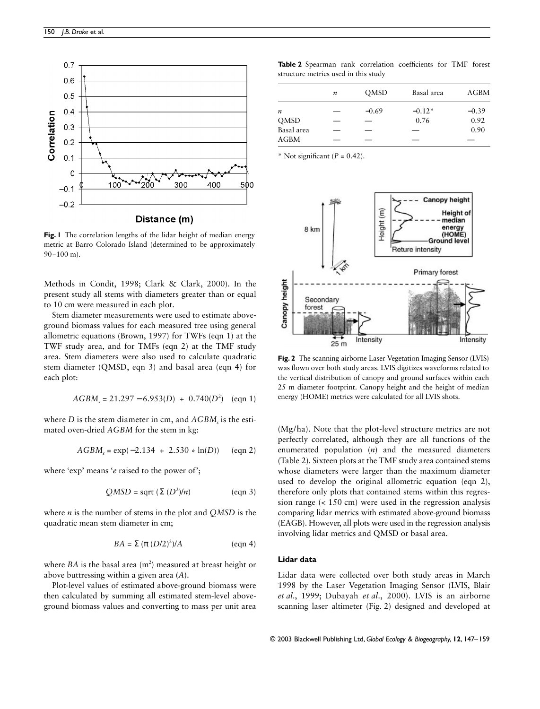

**Fig. 1** The correlation lengths of the lidar height of median energy metric at Barro Colorado Island (determined to be approximately 90–100 m).

Methods in Condit, 1998; Clark & Clark, 2000). In the present study all stems with diameters greater than or equal to 10 cm were measured in each plot.

Stem diameter measurements were used to estimate aboveground biomass values for each measured tree using general allometric equations (Brown, 1997) for TWFs (eqn 1) at the TWF study area, and for TMFs (eqn 2) at the TMF study area. Stem diameters were also used to calculate quadratic stem diameter (QMSD, eqn 3) and basal area (eqn 4) for each plot:

$$
AGBM_s = 21.297 - 6.953(D) + 0.740(D^2) \quad (eqn 1)
$$

where  $D$  is the stem diameter in cm, and  $AGBM<sub>s</sub>$  is the estimated oven-dried *AGBM* for the stem in kg:

$$
AGBM_s = \exp(-2.134 + 2.530 * \ln(D))
$$
 (eqn 2)

where 'exp' means '*e* raised to the power of';

$$
QMSD = \sqrt{(2 (D^2)/n)}
$$
 (eqn 3)

where *n* is the number of stems in the plot and *QMSD* is the quadratic mean stem diameter in cm;

$$
BA = \Sigma \left( \pi \left( D/2 \right)^2 \right) / A \tag{eqn 4}
$$

where  $BA$  is the basal area ( $m<sup>2</sup>$ ) measured at breast height or above buttressing within a given area (*A*).

Plot-level values of estimated above-ground biomass were then calculated by summing all estimated stem-level aboveground biomass values and converting to mass per unit area

**Table 2** Spearman rank correlation coefficients for TMF forest structure metrics used in this study

|                  | n | OMSD    | Basal area | AGBM    |
|------------------|---|---------|------------|---------|
| $\boldsymbol{n}$ |   | $-0.69$ | $-0.12*$   | $-0.39$ |
| QMSD             |   | —       | 0.76       | 0.92    |
| Basal area       |   | --      |            | 0.90    |
| <b>AGBM</b>      |   |         |            |         |

\* Not significant  $(P = 0.42)$ .



**Fig. 2** The scanning airborne Laser Vegetation Imaging Sensor (LVIS) was flown over both study areas. LVIS digitizes waveforms related to the vertical distribution of canopy and ground surfaces within each 25 m diameter footprint. Canopy height and the height of median energy (HOME) metrics were calculated for all LVIS shots.

(Mg/ha). Note that the plot-level structure metrics are not perfectly correlated, although they are all functions of the enumerated population (*n*) and the measured diameters (Table 2). Sixteen plots at the TMF study area contained stems whose diameters were larger than the maximum diameter used to develop the original allometric equation (eqn 2), therefore only plots that contained stems within this regression range (< 150 cm) were used in the regression analysis comparing lidar metrics with estimated above-ground biomass (EAGB). However, all plots were used in the regression analysis involving lidar metrics and QMSD or basal area.

## **Lidar data**

Lidar data were collected over both study areas in March 1998 by the Laser Vegetation Imaging Sensor (LVIS, Blair *et al*., 1999; Dubayah *et al*., 2000). LVIS is an airborne scanning laser altimeter (Fig. 2) designed and developed at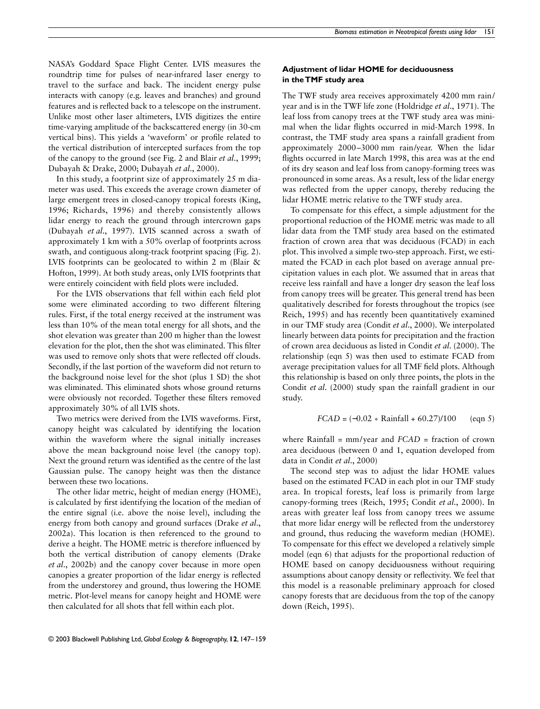NASA's Goddard Space Flight Center. LVIS measures the roundtrip time for pulses of near-infrared laser energy to travel to the surface and back. The incident energy pulse interacts with canopy (e.g. leaves and branches) and ground features and is reflected back to a telescope on the instrument. Unlike most other laser altimeters, LVIS digitizes the entire time-varying amplitude of the backscattered energy (in 30-cm vertical bins). This yields a 'waveform' or profile related to the vertical distribution of intercepted surfaces from the top of the canopy to the ground (see Fig. 2 and Blair *et al*., 1999; Dubayah & Drake, 2000; Dubayah *et al*., 2000).

In this study, a footprint size of approximately 25 m diameter was used. This exceeds the average crown diameter of large emergent trees in closed-canopy tropical forests (King, 1996; Richards, 1996) and thereby consistently allows lidar energy to reach the ground through intercrown gaps (Dubayah *et al*., 1997). LVIS scanned across a swath of approximately 1 km with a 50% overlap of footprints across swath, and contiguous along-track footprint spacing (Fig. 2). LVIS footprints can be geolocated to within 2 m (Blair & Hofton, 1999). At both study areas, only LVIS footprints that were entirely coincident with field plots were included.

For the LVIS observations that fell within each field plot some were eliminated according to two different filtering rules. First, if the total energy received at the instrument was less than 10% of the mean total energy for all shots, and the shot elevation was greater than 200 m higher than the lowest elevation for the plot, then the shot was eliminated. This filter was used to remove only shots that were reflected off clouds. Secondly, if the last portion of the waveform did not return to the background noise level for the shot (plus 1 SD) the shot was eliminated. This eliminated shots whose ground returns were obviously not recorded. Together these filters removed approximately 30% of all LVIS shots.

Two metrics were derived from the LVIS waveforms. First, canopy height was calculated by identifying the location within the waveform where the signal initially increases above the mean background noise level (the canopy top). Next the ground return was identified as the centre of the last Gaussian pulse. The canopy height was then the distance between these two locations.

The other lidar metric, height of median energy (HOME), is calculated by first identifying the location of the median of the entire signal (i.e. above the noise level), including the energy from both canopy and ground surfaces (Drake *et al*., 2002a). This location is then referenced to the ground to derive a height. The HOME metric is therefore influenced by both the vertical distribution of canopy elements (Drake *et al*., 2002b) and the canopy cover because in more open canopies a greater proportion of the lidar energy is reflected from the understorey and ground, thus lowering the HOME metric. Plot-level means for canopy height and HOME were then calculated for all shots that fell within each plot.

# **Adjustment of lidar HOME for deciduousness in the TMF study area**

The TWF study area receives approximately 4200 mm rain/ year and is in the TWF life zone (Holdridge *et al*., 1971). The leaf loss from canopy trees at the TWF study area was minimal when the lidar flights occurred in mid-March 1998. In contrast, the TMF study area spans a rainfall gradient from approximately 2000–3000 mm rain/year. When the lidar flights occurred in late March 1998, this area was at the end of its dry season and leaf loss from canopy-forming trees was pronounced in some areas. As a result, less of the lidar energy was reflected from the upper canopy, thereby reducing the lidar HOME metric relative to the TWF study area.

To compensate for this effect, a simple adjustment for the proportional reduction of the HOME metric was made to all lidar data from the TMF study area based on the estimated fraction of crown area that was deciduous (FCAD) in each plot. This involved a simple two-step approach. First, we estimated the FCAD in each plot based on average annual precipitation values in each plot. We assumed that in areas that receive less rainfall and have a longer dry season the leaf loss from canopy trees will be greater. This general trend has been qualitatively described for forests throughout the tropics (see Reich, 1995) and has recently been quantitatively examined in our TMF study area (Condit *et al*., 2000). We interpolated linearly between data points for precipitation and the fraction of crown area deciduous as listed in Condit *et al*. (2000). The relationship (eqn 5) was then used to estimate FCAD from average precipitation values for all TMF field plots. Although this relationship is based on only three points, the plots in the Condit *et al*. (2000) study span the rainfall gradient in our study.

$$
FCAD = (-0.02 * Rainfall + 60.27)/100 \qquad (eqn 5)
$$

where Rainfall = mm/year and *FCAD* = fraction of crown area deciduous (between 0 and 1, equation developed from data in Condit *et al*., 2000)

The second step was to adjust the lidar HOME values based on the estimated FCAD in each plot in our TMF study area. In tropical forests, leaf loss is primarily from large canopy-forming trees (Reich, 1995; Condit *et al*., 2000). In areas with greater leaf loss from canopy trees we assume that more lidar energy will be reflected from the understorey and ground, thus reducing the waveform median (HOME). To compensate for this effect we developed a relatively simple model (eqn 6) that adjusts for the proportional reduction of HOME based on canopy deciduousness without requiring assumptions about canopy density or reflectivity. We feel that this model is a reasonable preliminary approach for closed canopy forests that are deciduous from the top of the canopy down (Reich, 1995).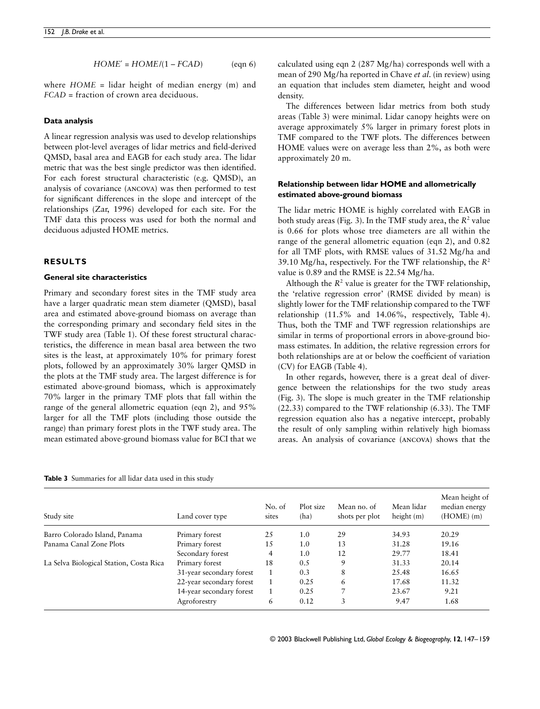$$
HOME' = HOME/(1 - FCAD) \qquad (eqn 6)
$$

where  $HOME =$  lidar height of median energy  $(m)$  and *FCAD* = fraction of crown area deciduous.

#### **Data analysis**

A linear regression analysis was used to develop relationships between plot-level averages of lidar metrics and field-derived QMSD, basal area and EAGB for each study area. The lidar metric that was the best single predictor was then identified. For each forest structural characteristic (e.g. QMSD), an analysis of covariance (ancova) was then performed to test for significant differences in the slope and intercept of the relationships (Zar, 1996) developed for each site. For the TMF data this process was used for both the normal and deciduous adjusted HOME metrics.

#### **RESULTS**

#### **General site characteristics**

Primary and secondary forest sites in the TMF study area have a larger quadratic mean stem diameter (QMSD), basal area and estimated above-ground biomass on average than the corresponding primary and secondary field sites in the TWF study area (Table 1). Of these forest structural characteristics, the difference in mean basal area between the two sites is the least, at approximately 10% for primary forest plots, followed by an approximately 30% larger QMSD in the plots at the TMF study area. The largest difference is for estimated above-ground biomass, which is approximately 70% larger in the primary TMF plots that fall within the range of the general allometric equation (eqn 2), and 95% larger for all the TMF plots (including those outside the range) than primary forest plots in the TWF study area. The mean estimated above-ground biomass value for BCI that we calculated using eqn 2 (287 Mg/ha) corresponds well with a mean of 290 Mg/ha reported in Chave *et al*. (in review) using an equation that includes stem diameter, height and wood density.

The differences between lidar metrics from both study areas (Table 3) were minimal. Lidar canopy heights were on average approximately 5% larger in primary forest plots in TMF compared to the TWF plots. The differences between HOME values were on average less than 2%, as both were approximately 20 m.

# **Relationship between lidar HOME and allometrically estimated above-ground biomass**

The lidar metric HOME is highly correlated with EAGB in both study areas (Fig. 3). In the TMF study area, the R<sup>2</sup> value is 0.66 for plots whose tree diameters are all within the range of the general allometric equation (eqn 2), and 0.82 for all TMF plots, with RMSE values of 31.52 Mg/ha and 39.10 Mg/ha, respectively. For the TWF relationship, the *R*<sup>2</sup> value is 0.89 and the RMSE is 22.54 Mg/ha.

Although the  $R^2$  value is greater for the TWF relationship, the 'relative regression error' (RMSE divided by mean) is slightly lower for the TMF relationship compared to the TWF relationship (11.5% and 14.06%, respectively, Table 4). Thus, both the TMF and TWF regression relationships are similar in terms of proportional errors in above-ground biomass estimates. In addition, the relative regression errors for both relationships are at or below the coefficient of variation (CV) for EAGB (Table 4).

In other regards, however, there is a great deal of divergence between the relationships for the two study areas (Fig. 3). The slope is much greater in the TMF relationship (22.33) compared to the TWF relationship (6.33). The TMF regression equation also has a negative intercept, probably the result of only sampling within relatively high biomass areas. An analysis of covariance (ancova) shows that the

| Study site                                      | Land cover type          | No. of<br>sites | Plot size<br>(ha) | Mean no. of<br>shots per plot | Mean lidar<br>height $(m)$ | Mean height of<br>median energy<br>$(HOME)$ (m) |
|-------------------------------------------------|--------------------------|-----------------|-------------------|-------------------------------|----------------------------|-------------------------------------------------|
| Primary forest<br>Barro Colorado Island, Panama |                          | 25              | 1.0               | 29                            | 34.93                      | 20.29                                           |
| Panama Canal Zone Plots                         | Primary forest           | 15              | 1.0               | 13                            | 31.28                      | 19.16                                           |
|                                                 | Secondary forest         | 4               | 1.0               | 12                            | 29.77                      | 18.41                                           |
| La Selva Biological Station, Costa Rica         | Primary forest           | 18              | 0.5               | 9                             | 31.33                      | 20.14                                           |
|                                                 | 31-year secondary forest | 1               | 0.3               | 8                             | 25.48                      | 16.65                                           |
|                                                 | 22-year secondary forest | 1               | 0.25              | 6                             | 17.68                      | 11.32                                           |
|                                                 | 14-year secondary forest |                 | 0.25              | 7                             | 23.67                      | 9.21                                            |
|                                                 | Agroforestry             | 6               | 0.12              | 3                             | 9.47                       | 1.68                                            |

**Table 3** Summaries for all lidar data used in this study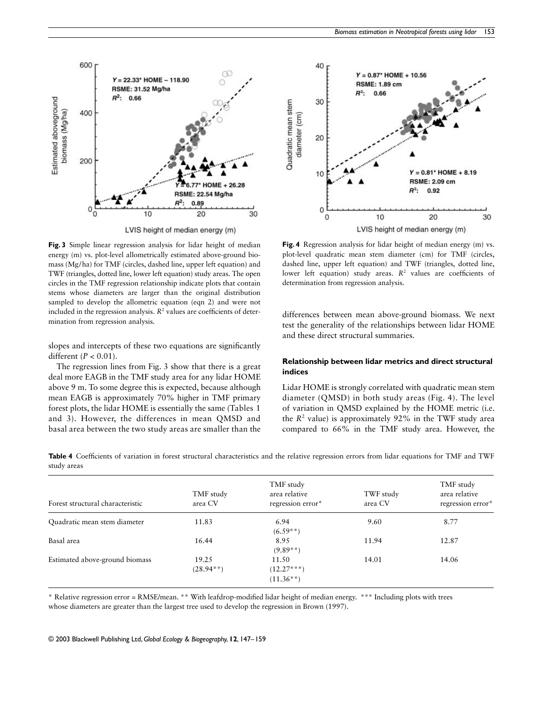

**Fig. 3** Simple linear regression analysis for lidar height of median energy (m) vs. plot-level allometrically estimated above-ground biomass (Mg/ha) for TMF (circles, dashed line, upper left equation) and TWF (triangles, dotted line, lower left equation) study areas. The open circles in the TMF regression relationship indicate plots that contain stems whose diameters are larger than the original distribution sampled to develop the allometric equation (eqn 2) and were not included in the regression analysis.  $R^2$  values are coefficients of determination from regression analysis.

slopes and intercepts of these two equations are significantly different  $(P < 0.01)$ .

The regression lines from Fig. 3 show that there is a great deal more EAGB in the TMF study area for any lidar HOME above 9 m. To some degree this is expected, because although mean EAGB is approximately 70% higher in TMF primary forest plots, the lidar HOME is essentially the same (Tables 1 and 3). However, the differences in mean QMSD and basal area between the two study areas are smaller than the



**Fig. 4** Regression analysis for lidar height of median energy (m) vs. plot-level quadratic mean stem diameter (cm) for TMF (circles, dashed line, upper left equation) and TWF (triangles, dotted line, lower left equation) study areas. R<sup>2</sup> values are coefficients of determination from regression analysis.

differences between mean above-ground biomass. We next test the generality of the relationships between lidar HOME and these direct structural summaries.

# **Relationship between lidar metrics and direct structural indices**

Lidar HOME is strongly correlated with quadratic mean stem diameter (QMSD) in both study areas (Fig. 4). The level of variation in QMSD explained by the HOME metric (i.e. the  $R<sup>2</sup>$  value) is approximately 92% in the TWF study area compared to 66% in the TMF study area. However, the

**Table 4** Coefficients of variation in forest structural characteristics and the relative regression errors from lidar equations for TMF and TWF study areas

| Forest structural characteristic | TMF study<br>area CV | TMF study<br>area relative<br>regression error* | TWF study<br>area CV | TMF study<br>area relative<br>regression error* |  |
|----------------------------------|----------------------|-------------------------------------------------|----------------------|-------------------------------------------------|--|
|                                  |                      |                                                 |                      |                                                 |  |
| Quadratic mean stem diameter     | 11.83                | 6.94<br>$(6.59**)$                              | 9.60                 | 8.77                                            |  |
| Basal area                       | 16.44                | 8.95<br>$(9.89**)$                              | 11.94                | 12.87                                           |  |
| Estimated above-ground biomass   | 19.25<br>$(28.94**)$ | 11.50<br>$(12.27***)$<br>$(11.36**)$            | 14.01                | 14.06                                           |  |

\* Relative regression error = RMSE/mean. \*\* With leafdrop-modified lidar height of median energy. \*\*\* Including plots with trees whose diameters are greater than the largest tree used to develop the regression in Brown (1997).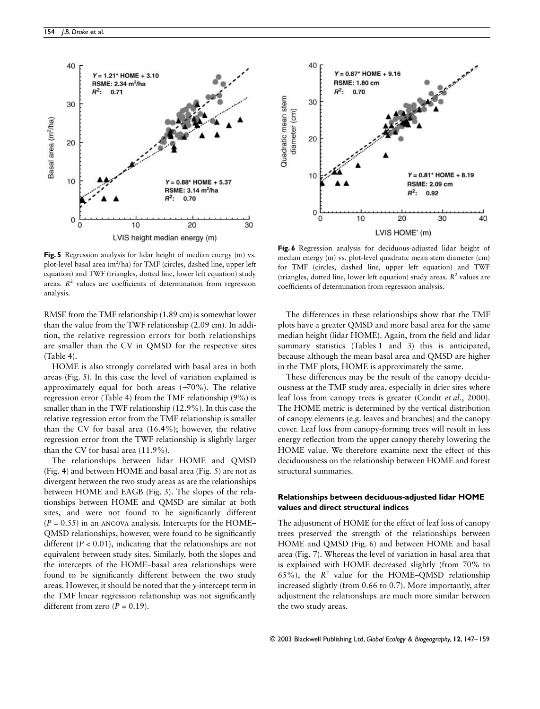

**Fig. 5** Regression analysis for lidar height of median energy (m) vs. plot-level basal area (m<sup>2</sup>/ha) for TMF (circles, dashed line, upper left equation) and TWF (triangles, dotted line, lower left equation) study areas.  $R<sup>2</sup>$  values are coefficients of determination from regression analysis.

RMSE from the TMF relationship (1.89 cm) is somewhat lower than the value from the TWF relationship (2.09 cm). In addition, the relative regression errors for both relationships are smaller than the CV in QMSD for the respective sites (Table 4).

HOME is also strongly correlated with basal area in both areas (Fig. 5). In this case the level of variation explained is approximately equal for both areas (∼70%). The relative regression error (Table 4) from the TMF relationship (9%) is smaller than in the TWF relationship (12.9%). In this case the relative regression error from the TMF relationship is smaller than the CV for basal area (16.4%); however, the relative regression error from the TWF relationship is slightly larger than the CV for basal area (11.9%).

The relationships between lidar HOME and QMSD (Fig. 4) and between HOME and basal area (Fig. 5) are not as divergent between the two study areas as are the relationships between HOME and EAGB (Fig. 3). The slopes of the relationships between HOME and QMSD are similar at both sites, and were not found to be significantly different  $(P = 0.55)$  in an ANCOVA analysis. Intercepts for the HOME– QMSD relationships, however, were found to be significantly different  $(P < 0.01)$ , indicating that the relationships are not equivalent between study sites. Similarly, both the slopes and the intercepts of the HOME–basal area relationships were found to be significantly different between the two study areas. However, it should be noted that the *y*-intercept term in the TMF linear regression relationship was not significantly different from zero  $(P = 0.19)$ .



**Fig. 6** Regression analysis for deciduous-adjusted lidar height of median energy (m) vs. plot-level quadratic mean stem diameter (cm) for TMF (circles, dashed line, upper left equation) and TWF (triangles, dotted line, lower left equation) study areas.  $R^2$  values are coefficients of determination from regression analysis.

The differences in these relationships show that the TMF plots have a greater QMSD and more basal area for the same median height (lidar HOME). Again, from the field and lidar summary statistics (Tables 1 and 3) this is anticipated, because although the mean basal area and QMSD are higher in the TMF plots, HOME is approximately the same.

These differences may be the result of the canopy deciduousness at the TMF study area, especially in drier sites where leaf loss from canopy trees is greater (Condit *et al*., 2000). The HOME metric is determined by the vertical distribution of canopy elements (e.g. leaves and branches) and the canopy cover. Leaf loss from canopy-forming trees will result in less energy reflection from the upper canopy thereby lowering the HOME value. We therefore examine next the effect of this deciduousness on the relationship between HOME and forest structural summaries.

# **Relationships between deciduous-adjusted lidar HOME values and direct structural indices**

The adjustment of HOME for the effect of leaf loss of canopy trees preserved the strength of the relationships between HOME and QMSD (Fig. 6) and between HOME and basal area (Fig. 7). Whereas the level of variation in basal area that is explained with HOME decreased slightly (from 70% to  $65\%$ ), the  $R^2$  value for the HOME-QMSD relationship increased slightly (from 0.66 to 0.7). More importantly, after adjustment the relationships are much more similar between the two study areas.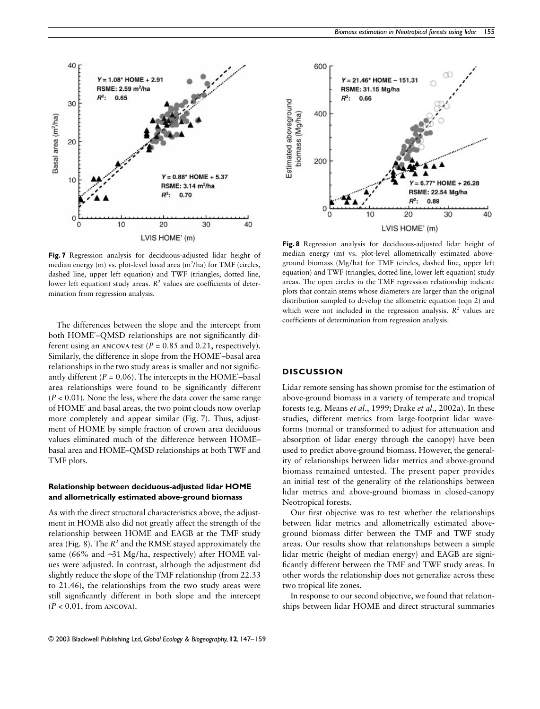

**Fig. 7** Regression analysis for deciduous-adjusted lidar height of median energy (m) vs. plot-level basal area (m<sup>2</sup>/ha) for TMF (circles, dashed line, upper left equation) and TWF (triangles, dotted line, lower left equation) study areas.  $R^2$  values are coefficients of determination from regression analysis.

The differences between the slope and the intercept from both HOME′–QMSD relationships are not significantly different using an ANCOVA test  $(P = 0.85$  and 0.21, respectively). Similarly, the difference in slope from the HOME′–basal area relationships in the two study areas is smaller and not significantly different  $(P = 0.06)$ . The intercepts in the HOME'-basal area relationships were found to be significantly different  $(P < 0.01)$ . None the less, where the data cover the same range of HOME′ and basal areas, the two point clouds now overlap more completely and appear similar (Fig. 7). Thus, adjustment of HOME by simple fraction of crown area deciduous values eliminated much of the difference between HOME– basal area and HOME–QMSD relationships at both TWF and TMF plots.

# **Relationship between deciduous-adjusted lidar HOME and allometrically estimated above-ground biomass**

As with the direct structural characteristics above, the adjustment in HOME also did not greatly affect the strength of the relationship between HOME and EAGB at the TMF study area (Fig. 8). The  $R^2$  and the RMSE stayed approximately the same (66% and ~31 Mg/ha, respectively) after HOME values were adjusted. In contrast, although the adjustment did slightly reduce the slope of the TMF relationship (from 22.33 to 21.46), the relationships from the two study areas were still significantly different in both slope and the intercept  $(P < 0.01$ , from ANCOVA).



**Fig. 8** Regression analysis for deciduous-adjusted lidar height of median energy (m) vs. plot-level allometrically estimated aboveground biomass (Mg/ha) for TMF (circles, dashed line, upper left equation) and TWF (triangles, dotted line, lower left equation) study areas. The open circles in the TMF regression relationship indicate plots that contain stems whose diameters are larger than the original distribution sampled to develop the allometric equation (eqn 2) and which were not included in the regression analysis.  $R^2$  values are coefficients of determination from regression analysis.

# **DISCUSSION**

Lidar remote sensing has shown promise for the estimation of above-ground biomass in a variety of temperate and tropical forests (e.g. Means *et al*., 1999; Drake *et al*., 2002a). In these studies, different metrics from large-footprint lidar waveforms (normal or transformed to adjust for attenuation and absorption of lidar energy through the canopy) have been used to predict above-ground biomass. However, the generality of relationships between lidar metrics and above-ground biomass remained untested. The present paper provides an initial test of the generality of the relationships between lidar metrics and above-ground biomass in closed-canopy Neotropical forests.

Our first objective was to test whether the relationships between lidar metrics and allometrically estimated aboveground biomass differ between the TMF and TWF study areas. Our results show that relationships between a simple lidar metric (height of median energy) and EAGB are significantly different between the TMF and TWF study areas. In other words the relationship does not generalize across these two tropical life zones.

In response to our second objective, we found that relationships between lidar HOME and direct structural summaries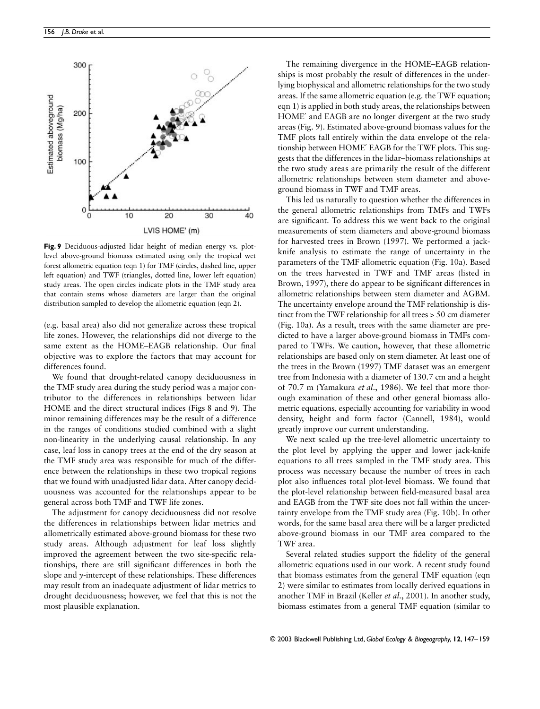

**Fig. 9** Deciduous-adjusted lidar height of median energy vs. plotlevel above-ground biomass estimated using only the tropical wet forest allometric equation (eqn 1) for TMF (circles, dashed line, upper left equation) and TWF (triangles, dotted line, lower left equation) study areas. The open circles indicate plots in the TMF study area that contain stems whose diameters are larger than the original distribution sampled to develop the allometric equation (eqn 2).

(e.g. basal area) also did not generalize across these tropical life zones. However, the relationships did not diverge to the same extent as the HOME–EAGB relationship. Our final objective was to explore the factors that may account for differences found.

We found that drought-related canopy deciduousness in the TMF study area during the study period was a major contributor to the differences in relationships between lidar HOME and the direct structural indices (Figs 8 and 9). The minor remaining differences may be the result of a difference in the ranges of conditions studied combined with a slight non-linearity in the underlying causal relationship. In any case, leaf loss in canopy trees at the end of the dry season at the TMF study area was responsible for much of the difference between the relationships in these two tropical regions that we found with unadjusted lidar data. After canopy deciduousness was accounted for the relationships appear to be general across both TMF and TWF life zones.

The adjustment for canopy deciduousness did not resolve the differences in relationships between lidar metrics and allometrically estimated above-ground biomass for these two study areas. Although adjustment for leaf loss slightly improved the agreement between the two site-specific relationships, there are still significant differences in both the slope and *y*-intercept of these relationships. These differences may result from an inadequate adjustment of lidar metrics to drought deciduousness; however, we feel that this is not the most plausible explanation.

The remaining divergence in the HOME–EAGB relationships is most probably the result of differences in the underlying biophysical and allometric relationships for the two study areas. If the same allometric equation (e.g. the TWF equation; eqn 1) is applied in both study areas, the relationships between HOME′ and EAGB are no longer divergent at the two study areas (Fig. 9). Estimated above-ground biomass values for the TMF plots fall entirely within the data envelope of the relationship between HOME′ EAGB for the TWF plots. This suggests that the differences in the lidar–biomass relationships at the two study areas are primarily the result of the different allometric relationships between stem diameter and aboveground biomass in TWF and TMF areas.

This led us naturally to question whether the differences in the general allometric relationships from TMFs and TWFs are significant. To address this we went back to the original measurements of stem diameters and above-ground biomass for harvested trees in Brown (1997). We performed a jackknife analysis to estimate the range of uncertainty in the parameters of the TMF allometric equation (Fig. 10a). Based on the trees harvested in TWF and TMF areas (listed in Brown, 1997), there do appear to be significant differences in allometric relationships between stem diameter and AGBM. The uncertainty envelope around the TMF relationship is distinct from the TWF relationship for all trees > 50 cm diameter (Fig. 10a). As a result, trees with the same diameter are predicted to have a larger above-ground biomass in TMFs compared to TWFs. We caution, however, that these allometric relationships are based only on stem diameter. At least one of the trees in the Brown (1997) TMF dataset was an emergent tree from Indonesia with a diameter of 130.7 cm and a height of 70.7 m (Yamakura *et al*., 1986). We feel that more thorough examination of these and other general biomass allometric equations, especially accounting for variability in wood density, height and form factor (Cannell, 1984), would greatly improve our current understanding.

We next scaled up the tree-level allometric uncertainty to the plot level by applying the upper and lower jack-knife equations to all trees sampled in the TMF study area. This process was necessary because the number of trees in each plot also influences total plot-level biomass. We found that the plot-level relationship between field-measured basal area and EAGB from the TWF site does not fall within the uncertainty envelope from the TMF study area (Fig. 10b). In other words, for the same basal area there will be a larger predicted above-ground biomass in our TMF area compared to the TWF area.

Several related studies support the fidelity of the general allometric equations used in our work. A recent study found that biomass estimates from the general TMF equation (eqn 2) were similar to estimates from locally derived equations in another TMF in Brazil (Keller *et al*., 2001). In another study, biomass estimates from a general TMF equation (similar to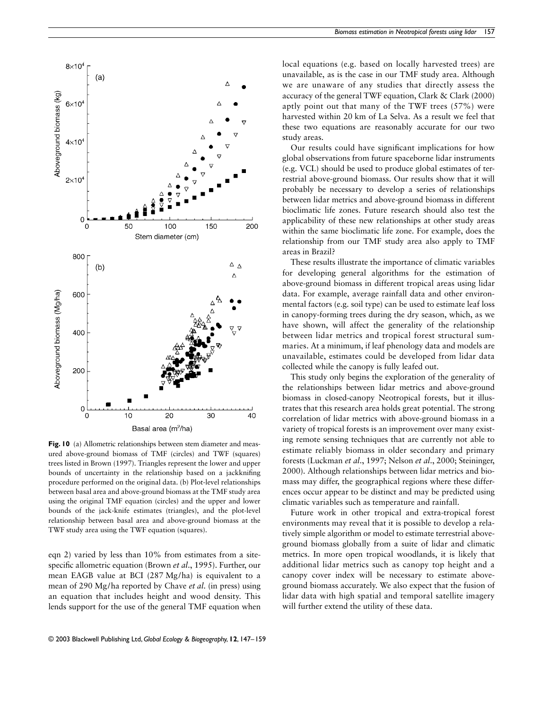

**Fig. 10** (a) Allometric relationships between stem diameter and measured above-ground biomass of TMF (circles) and TWF (squares) trees listed in Brown (1997). Triangles represent the lower and upper bounds of uncertainty in the relationship based on a jackknifing procedure performed on the original data. (b) Plot-level relationships between basal area and above-ground biomass at the TMF study area using the original TMF equation (circles) and the upper and lower bounds of the jack-knife estimates (triangles), and the plot-level relationship between basal area and above-ground biomass at the TWF study area using the TWF equation (squares).

eqn 2) varied by less than 10% from estimates from a sitespecific allometric equation (Brown *et al*., 1995). Further, our mean EAGB value at BCI (287 Mg/ha) is equivalent to a mean of 290 Mg/ha reported by Chave *et al*. (in press) using an equation that includes height and wood density. This lends support for the use of the general TMF equation when local equations (e.g. based on locally harvested trees) are unavailable, as is the case in our TMF study area. Although we are unaware of any studies that directly assess the accuracy of the general TWF equation, Clark & Clark (2000) aptly point out that many of the TWF trees (57%) were harvested within 20 km of La Selva. As a result we feel that these two equations are reasonably accurate for our two study areas.

Our results could have significant implications for how global observations from future spaceborne lidar instruments (e.g. VCL) should be used to produce global estimates of terrestrial above-ground biomass. Our results show that it will probably be necessary to develop a series of relationships between lidar metrics and above-ground biomass in different bioclimatic life zones. Future research should also test the applicability of these new relationships at other study areas within the same bioclimatic life zone. For example, does the relationship from our TMF study area also apply to TMF areas in Brazil?

These results illustrate the importance of climatic variables for developing general algorithms for the estimation of above-ground biomass in different tropical areas using lidar data. For example, average rainfall data and other environmental factors (e.g. soil type) can be used to estimate leaf loss in canopy-forming trees during the dry season, which, as we have shown, will affect the generality of the relationship between lidar metrics and tropical forest structural summaries. At a minimum, if leaf phenology data and models are unavailable, estimates could be developed from lidar data collected while the canopy is fully leafed out.

This study only begins the exploration of the generality of the relationships between lidar metrics and above-ground biomass in closed-canopy Neotropical forests, but it illustrates that this research area holds great potential. The strong correlation of lidar metrics with above-ground biomass in a variety of tropical forests is an improvement over many existing remote sensing techniques that are currently not able to estimate reliably biomass in older secondary and primary forests (Luckman *et al*., 1997; Nelson *et al*., 2000; Steininger, 2000). Although relationships between lidar metrics and biomass may differ, the geographical regions where these differences occur appear to be distinct and may be predicted using climatic variables such as temperature and rainfall.

Future work in other tropical and extra-tropical forest environments may reveal that it is possible to develop a relatively simple algorithm or model to estimate terrestrial aboveground biomass globally from a suite of lidar and climatic metrics. In more open tropical woodlands, it is likely that additional lidar metrics such as canopy top height and a canopy cover index will be necessary to estimate aboveground biomass accurately. We also expect that the fusion of lidar data with high spatial and temporal satellite imagery will further extend the utility of these data.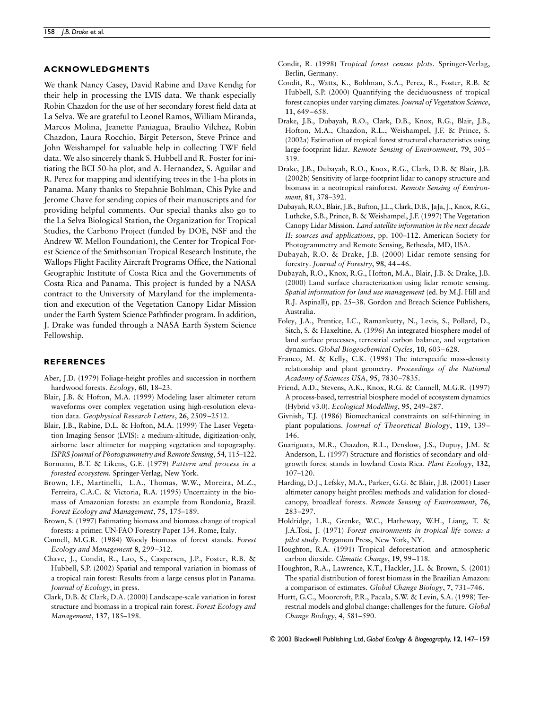## **ACKNOWLEDGMENTS**

We thank Nancy Casey, David Rabine and Dave Kendig for their help in processing the LVIS data. We thank especially Robin Chazdon for the use of her secondary forest field data at La Selva. We are grateful to Leonel Ramos, William Miranda, Marcos Molina, Jeanette Paniagua, Braulio Vilchez, Robin Chazdon, Laura Rocchio, Birgit Peterson, Steve Prince and John Weishampel for valuable help in collecting TWF field data. We also sincerely thank S. Hubbell and R. Foster for initiating the BCI 50-ha plot, and A. Hernandez, S. Aguilar and R. Perez for mapping and identifying trees in the 1-ha plots in Panama. Many thanks to Stepahnie Bohlman, Chis Pyke and Jerome Chave for sending copies of their manuscripts and for providing helpful comments. Our special thanks also go to the La Selva Biological Station, the Organization for Tropical Studies, the Carbono Project (funded by DOE, NSF and the Andrew W. Mellon Foundation), the Center for Tropical Forest Science of the Smithsonian Tropical Research Institute, the Wallops Flight Facility Aircraft Programs Office, the National Geographic Institute of Costa Rica and the Governments of Costa Rica and Panama. This project is funded by a NASA contract to the University of Maryland for the implementation and execution of the Vegetation Canopy Lidar Mission under the Earth System Science Pathfinder program. In addition, J. Drake was funded through a NASA Earth System Science Fellowship.

# **REFERENCES**

- Aber, J.D. (1979) Foliage-height profiles and succession in northern hardwood forests. *Ecology*, **60**, 18–23.
- Blair, J.B. & Hofton, M.A. (1999) Modeling laser altimeter return waveforms over complex vegetation using high-resolution elevation data. *Geophysical Research Letters*, **26**, 2509–2512.
- Blair, J.B., Rabine, D.L. & Hofton, M.A. (1999) The Laser Vegetation Imaging Sensor (LVIS): a medium-altitude, digitization-only, airborne laser altimeter for mapping vegetation and topography. *ISPRS Journal of Photogrammetry and Remote Sensing*, **54**, 115–122.
- Bormann, B.T. & Likens, G.E. (1979) *Pattern and process in a forested ecosystem.* Springer-Verlag, New York.
- Brown, I.F., Martinelli, L.A., Thomas, W.W., Moreira, M.Z., Ferreira, C.A.C. & Victoria, R.A. (1995) Uncertainty in the biomass of Amazonian forests: an example from Rondonia, Brazil. *Forest Ecology and Management*, **75**, 175–189.
- Brown, S. (1997) Estimating biomass and biomass change of tropical forests: a primer. UN-FAO Forestry Paper 134. Rome, Italy.
- Cannell, M.G.R. (1984) Woody biomass of forest stands. *Forest Ecology and Management* **8**, 299–312.
- Chave, J., Condit, R., Lao, S., Caspersen, J.P., Foster, R.B. & Hubbell, S.P. (2002) Spatial and temporal variation in biomass of a tropical rain forest: Results from a large census plot in Panama. *Journal of Ecology*, in press.
- Clark, D.B. & Clark, D.A. (2000) Landscape-scale variation in forest structure and biomass in a tropical rain forest. *Forest Ecology and Management*, **137**, 185–198.
- Condit, R. (1998) *Tropical forest census plots.* Springer-Verlag, Berlin, Germany.
- Condit, R., Watts, K., Bohlman, S.A., Perez, R., Foster, R.B. & Hubbell, S.P. (2000) Quantifying the deciduousness of tropical forest canopies under varying climates. *Journal of Vegetation Science*, **11**, 649–658.
- Drake, J.B., Dubayah, R.O., Clark, D.B., Knox, R.G., Blair, J.B., Hofton, M.A., Chazdon, R.L., Weishampel, J.F. & Prince, S. (2002a) Estimation of tropical forest structural characteristics using large-footprint lidar. *Remote Sensing of Environment*, **79**, 305– 319.
- Drake, J.B., Dubayah, R.O., Knox, R.G., Clark, D.B. & Blair, J.B. (2002b) Sensitivity of large-footprint lidar to canopy structure and biomass in a neotropical rainforest. *Remote Sensing of Environment*, **81**, 378–392.
- Dubayah, R.O., Blair, J.B., Bufton, J.L., Clark, D.B., JaJa, J., Knox, R.G., Luthcke, S.B., Prince, B. & Weishampel, J.F. (1997) The Vegetation Canopy Lidar Mission. *Land satellite information in the next decade II: sources and applications*, pp. 100–112. American Society for Photogrammetry and Remote Sensing, Bethesda, MD, USA.
- Dubayah, R.O. & Drake, J.B. (2000) Lidar remote sensing for forestry. *Journal of Forestry*, **98**, 44–46.
- Dubayah, R.O., Knox, R.G., Hofton, M.A., Blair, J.B. & Drake, J.B. (2000) Land surface characterization using lidar remote sensing. *Spatial information for land use management* (ed. by M.J. Hill and R.J. Aspinall), pp. 25–38. Gordon and Breach Science Publishers, Australia.
- Foley, J.A., Prentice, I.C., Ramankutty, N., Levis, S., Pollard, D., Sitch, S. & Haxeltine, A. (1996) An integrated biosphere model of land surface processes, terrestrial carbon balance, and vegetation dynamics. *Global Biogeochemical Cycles*, **10**, 603–628.
- Franco, M. & Kelly, C.K. (1998) The interspecific mass-density relationship and plant geometry. *Proceedings of the National Academy of Sciences USA*, **95**, 7830–7835.
- Friend, A.D., Stevens, A.K., Knox, R.G. & Cannell, M.G.R. (1997) A process-based, terrestrial biosphere model of ecosystem dynamics (Hybrid v3.0). *Ecological Modelling*, **95**, 249–287.
- Givnish, T.J. (1986) Biomechanical constraints on self-thinning in plant populations. *Journal of Theoretical Biology*, **119**, 139– 146.
- Guariguata, M.R., Chazdon, R.L., Denslow, J.S., Dupuy, J.M. & Anderson, L. (1997) Structure and floristics of secondary and oldgrowth forest stands in lowland Costa Rica. *Plant Ecology*, **132**, 107–120.
- Harding, D.J., Lefsky, M.A., Parker, G.G. & Blair, J.B. (2001) Laser altimeter canopy height profiles: methods and validation for closedcanopy, broadleaf forests. *Remote Sensing of Environment*, **76**, 283–297.
- Holdridge, L.R., Grenke, W.C., Hatheway, W.H., Liang, T. & J.A.Tosi, J. (1971) *Forest environments in tropical life zones: a pilot study.* Pergamon Press, New York, NY.
- Houghton, R.A. (1991) Tropical deforestation and atmospheric carbon dioxide. *Climatic Change*, **19**, 99–118.
- Houghton, R.A., Lawrence, K.T., Hackler, J.L. & Brown, S. (2001) The spatial distribution of forest biomass in the Brazilian Amazon: a comparison of estimates. *Global Change Biology*, **7**, 731–746.
- Hurtt, G.C., Moorcroft, P.R., Pacala, S.W. & Levin, S.A. (1998) Terrestrial models and global change: challenges for the future. *Global Change Biology*, **4**, 581–590.

© 2003 Blackwell Publishing Ltd, *Global Ecology & Biogeography*, **12**, 147–159